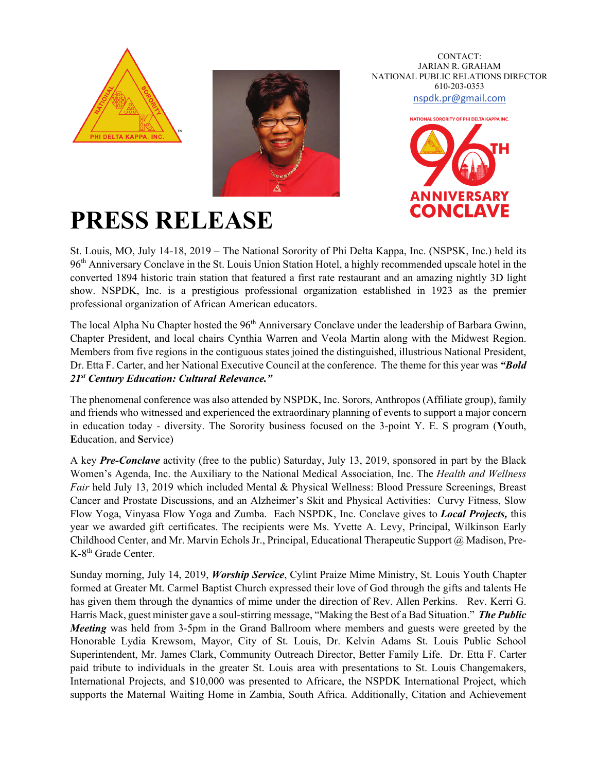



CONTACT: JARIAN R. GRAHAM NATIONAL PUBLIC RELATIONS DIRECTOR 610-203-0353 [nspdk.pr@gmail.com](mailto:nspdk.pr@gmail.com)



## **PRESS RELEASE**

St. Louis, MO, July 14-18, 2019 – The National Sorority of Phi Delta Kappa, Inc. (NSPSK, Inc.) held its 96th Anniversary Conclave in the St. Louis Union Station Hotel, a highly recommended upscale hotel in the converted 1894 historic train station that featured a first rate restaurant and an amazing nightly 3D light show. NSPDK, Inc. is a prestigious professional organization established in 1923 as the premier professional organization of African American educators.

The local Alpha Nu Chapter hosted the 96<sup>th</sup> Anniversary Conclave under the leadership of Barbara Gwinn, Chapter President, and local chairs Cynthia Warren and Veola Martin along with the Midwest Region. Members from five regions in the contiguous states joined the distinguished, illustrious National President, Dr. Etta F. Carter, and her National Executive Council at the conference. The theme for this year was *"Bold 21st Century Education: Cultural Relevance."* 

The phenomenal conference was also attended by NSPDK, Inc. Sorors, Anthropos (Affiliate group), family and friends who witnessed and experienced the extraordinary planning of events to support a major concern in education today - diversity. The Sorority business focused on the 3-point Y. E. S program (**Y**outh, **E**ducation, and **S**ervice)

A key *Pre-Conclave* activity (free to the public) Saturday, July 13, 2019, sponsored in part by the Black Women's Agenda, Inc. the Auxiliary to the National Medical Association, Inc. The *Health and Wellness Fair* held July 13, 2019 which included Mental & Physical Wellness: Blood Pressure Screenings, Breast Cancer and Prostate Discussions, and an Alzheimer's Skit and Physical Activities: Curvy Fitness, Slow Flow Yoga, Vinyasa Flow Yoga and Zumba. Each NSPDK, Inc. Conclave gives to *Local Projects,* this year we awarded gift certificates. The recipients were Ms. Yvette A. Levy, Principal, Wilkinson Early Childhood Center, and Mr. Marvin Echols Jr., Principal, Educational Therapeutic Support @ Madison, Pre-K-8<sup>th</sup> Grade Center.

Sunday morning, July 14, 2019, *Worship Service*, Cylint Praize Mime Ministry, St. Louis Youth Chapter formed at Greater Mt. Carmel Baptist Church expressed their love of God through the gifts and talents He has given them through the dynamics of mime under the direction of Rev. Allen Perkins. Rev. Kerri G. Harris Mack, guest minister gave a soul-stirring message, "Making the Best of a Bad Situation." *The Public Meeting* was held from 3-5pm in the Grand Ballroom where members and guests were greeted by the Honorable Lydia Krewsom, Mayor, City of St. Louis, Dr. Kelvin Adams St. Louis Public School Superintendent, Mr. James Clark, Community Outreach Director, Better Family Life. Dr. Etta F. Carter paid tribute to individuals in the greater St. Louis area with presentations to St. Louis Changemakers, International Projects, and \$10,000 was presented to Africare, the NSPDK International Project, which supports the Maternal Waiting Home in Zambia, South Africa. Additionally, Citation and Achievement